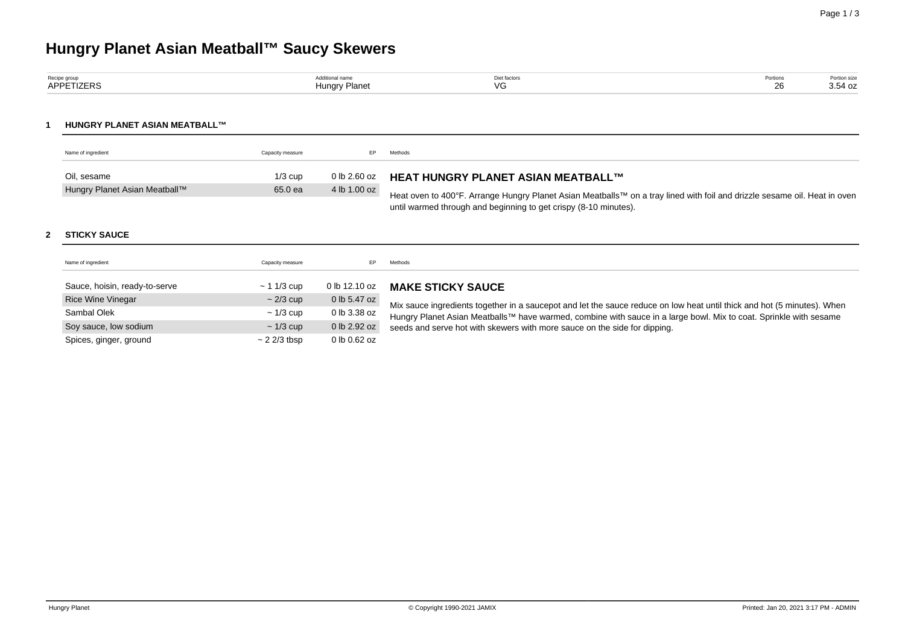# **Hungry Planet Asian Meatball™ Saucy Skewers**

| Recipe group | dditional name            | Diet factors | Portions | Portion size |
|--------------|---------------------------|--------------|----------|--------------|
| APPETIZERS   | <del>I</del> unarv Planet | $\sqrt{C}$   |          | 3.54 oz      |

## **1 HUNGRY PLANET ASIAN MEATBALL™**

| Name of ingredient            | Capacity measure |              | Methods                                                                                                                   |
|-------------------------------|------------------|--------------|---------------------------------------------------------------------------------------------------------------------------|
| Oil. sesame                   | $1/3$ cup        |              | 0 lb 2.60 oz HEAT HUNGRY PLANET ASIAN MEATBALL™                                                                           |
| Hungry Planet Asian Meatball™ | 65.0 ea          | 4 lb 1.00 oz | Heat oven to 400°F. Arrange Hungry Planet Asian Meatballs™ on a tray lined with foil and drizzle sesame oil. Heat in oven |
|                               |                  |              | until warmed through and beginning to get crispy (8-10 minutes).                                                          |

## **2 STICKY SAUCE**

| Name of ingredient            | Capacity measure  | EP.           | Methods                                                                                                                                                                                                                                      |
|-------------------------------|-------------------|---------------|----------------------------------------------------------------------------------------------------------------------------------------------------------------------------------------------------------------------------------------------|
| Sauce, hoisin, ready-to-serve | $\sim$ 1 1/3 cup  | 0 lb 12.10 oz | <b>MAKE STICKY SAUCE</b>                                                                                                                                                                                                                     |
| <b>Rice Wine Vinegar</b>      | $\sim$ 2/3 cup    | 0 lb 5.47 oz  |                                                                                                                                                                                                                                              |
| Sambal Olek                   | $\sim$ 1/3 cup    | 0 lb 3.38 oz  | Mix sauce ingredients together in a saucepot and let the sauce reduce on low heat until thick and hot (5 minutes). When<br>Hungry Planet Asian Meatballs™ have warmed, combine with sauce in a large bowl. Mix to coat. Sprinkle with sesame |
| Soy sauce, low sodium         | $\sim$ 1/3 cup    | 0 lb 2.92 oz  | seeds and serve hot with skewers with more sauce on the side for dipping.                                                                                                                                                                    |
| Spices, ginger, ground        | $\sim$ 2 2/3 tbsp | 0 lb 0.62 oz  |                                                                                                                                                                                                                                              |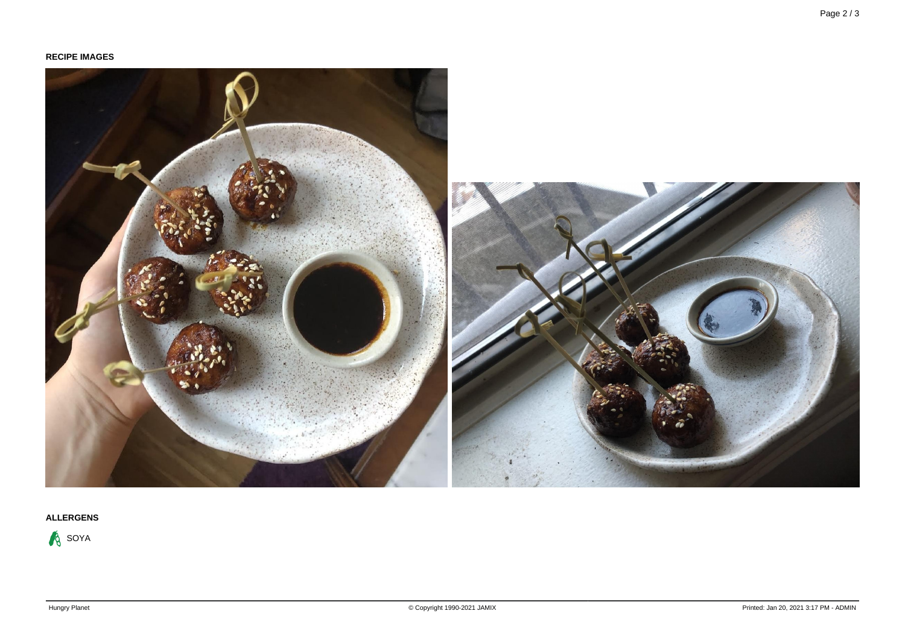

## **ALLERGENS**

**A** SOYA